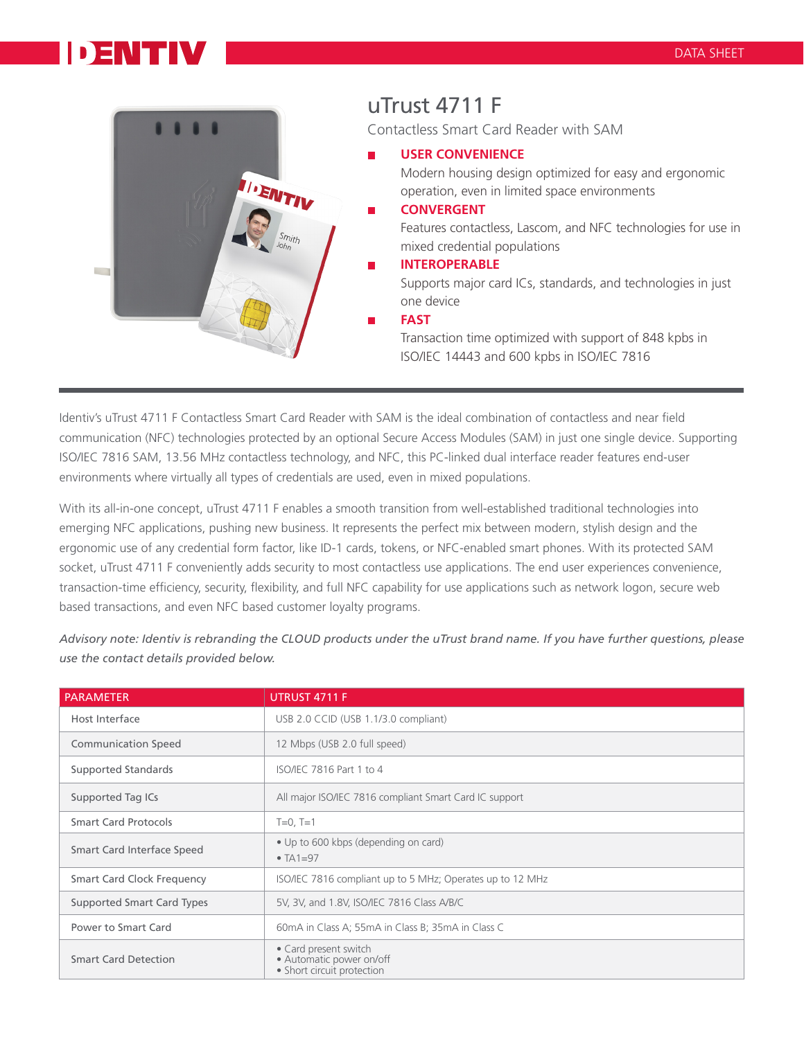## DENTIV



Identiv's uTrust 4711 F Contactless Smart Card Reader with SAM is the ideal combination of contactless and near field communication (NFC) technologies protected by an optional Secure Access Modules (SAM) in just one single device. Supporting ISO/IEC 7816 SAM, 13.56 MHz contactless technology, and NFC, this PC-linked dual interface reader features end-user environments where virtually all types of credentials are used, even in mixed populations.

With its all-in-one concept, uTrust 4711 F enables a smooth transition from well-established traditional technologies into emerging NFC applications, pushing new business. It represents the perfect mix between modern, stylish design and the ergonomic use of any credential form factor, like ID-1 cards, tokens, or NFC-enabled smart phones. With its protected [SAM](https://www.cardlogix.com/product-tag/sam/) socket, uTrust 4711 F conveniently adds security to most contactless use applications. The end user experiences convenience, transaction-time efficiency, security, flexibility, and full NFC capability for use applications such as network logon, secure web based transactions, and even NFC based customer loyalty programs.

*Advisory note: [Identiv](https://www.cardlogix.com/product-category/sort-by-manufacturer/identiv-scm/) is rebranding the CLOUD products under the uTrust brand name. If you have further questions, please use the contact details provided below.* 

| <b>PARAMETER</b>                  | UTRUST 4711 F                                                                   |
|-----------------------------------|---------------------------------------------------------------------------------|
| Host Interface                    | USB 2.0 CCID (USB 1.1/3.0 compliant)                                            |
| <b>Communication Speed</b>        | 12 Mbps (USB 2.0 full speed)                                                    |
| Supported Standards               | ISO/IEC 7816 Part 1 to 4                                                        |
| Supported Tag ICs                 | All major ISO/IEC 7816 compliant Smart Card IC support                          |
| <b>Smart Card Protocols</b>       | $T=0, T=1$                                                                      |
| Smart Card Interface Speed        | • Up to 600 kbps (depending on card)<br>$\bullet$ TA1=97                        |
| <b>Smart Card Clock Frequency</b> | ISO/IEC 7816 compliant up to 5 MHz; Operates up to 12 MHz                       |
| Supported Smart Card Types        | 5V, 3V, and 1.8V, ISO/IEC 7816 Class A/B/C                                      |
| Power to Smart Card               | 60mA in Class A; 55mA in Class B; 35mA in Class C                               |
| <b>Smart Card Detection</b>       | • Card present switch<br>· Automatic power on/off<br>• Short circuit protection |